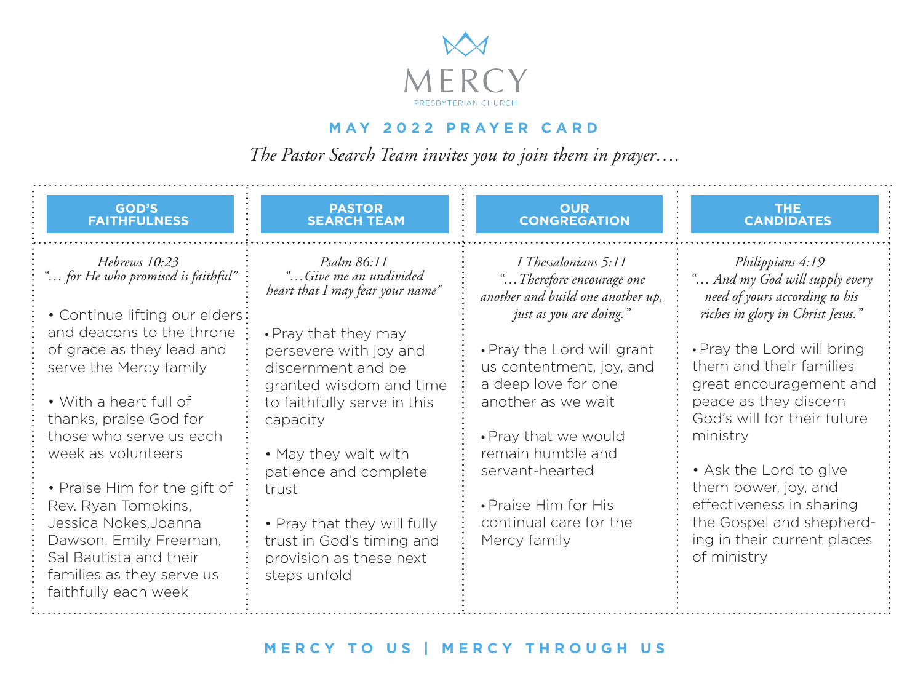

## **MAY 2022 PRAYER CARD**

*The Pastor Search Team invites you to join them in prayer….*

| <b>GOD'S</b><br><b>FAITHFULNESS</b>                                                                                                                                                                                                                                                                                                                                            | <b>PASTOR</b><br><b>SEARCH TEAM</b>                                                                                                                                                                                                                                                                         | <b>OUR</b><br><b>CONGREGATION</b>                                                                                                                                                                                                     | <b>THE</b><br><b>CANDIDATES</b>                                                                                                                                                                                                                                                                              |
|--------------------------------------------------------------------------------------------------------------------------------------------------------------------------------------------------------------------------------------------------------------------------------------------------------------------------------------------------------------------------------|-------------------------------------------------------------------------------------------------------------------------------------------------------------------------------------------------------------------------------------------------------------------------------------------------------------|---------------------------------------------------------------------------------------------------------------------------------------------------------------------------------------------------------------------------------------|--------------------------------------------------------------------------------------------------------------------------------------------------------------------------------------------------------------------------------------------------------------------------------------------------------------|
| Hebrews 10:23<br>" for He who promised is faithful"<br>• Continue lifting our elders:                                                                                                                                                                                                                                                                                          | Psalm 86:11<br>" Give me an undivided<br>heart that I may fear your name"                                                                                                                                                                                                                                   | I Thessalonians 5:11<br>"Therefore encourage one<br>another and build one another up,<br>just as you are doing."                                                                                                                      | Philippians 4:19<br>" And my God will supply every<br>need of yours according to his<br>riches in glory in Christ Jesus."                                                                                                                                                                                    |
| and deacons to the throne<br>of grace as they lead and<br>serve the Mercy family<br>• With a heart full of<br>thanks, praise God for<br>those who serve us each<br>week as volunteers<br>• Praise Him for the gift of<br>Rev. Ryan Tompkins,<br>Jessica Nokes, Joanna<br>Dawson, Emily Freeman,<br>Sal Bautista and their<br>families as they serve us<br>faithfully each week | • Pray that they may<br>persevere with joy and<br>discernment and be<br>granted wisdom and time<br>to faithfully serve in this<br>capacity<br>• May they wait with<br>patience and complete<br>trust<br>• Pray that they will fully<br>trust in God's timing and<br>provision as these next<br>steps unfold | • Pray the Lord will grant<br>us contentment, joy, and<br>a deep love for one<br>another as we wait<br>• Pray that we would<br>remain humble and<br>servant-hearted<br>• Praise Him for His<br>continual care for the<br>Mercy family | • Pray the Lord will bring<br>them and their families<br>great encouragement and<br>peace as they discern<br>God's will for their future<br>ministry<br>• Ask the Lord to give<br>them power, joy, and<br>effectiveness in sharing<br>the Gospel and shepherd-<br>ing in their current places<br>of ministry |

## **MERCY TO US | MERCY THROUGH US**